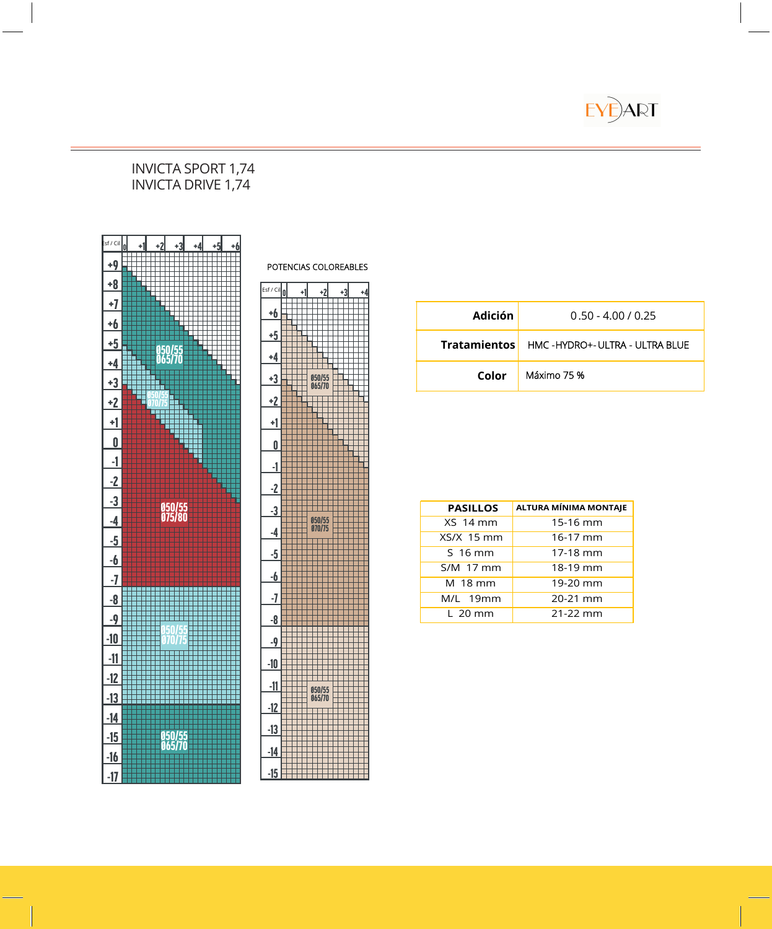EYE<sup>ART</sup>

#### INVICTA SPORT 1,74 INVICTA DRIVE 1,74



### **Adición** 0.50 - 4.00 / 0.25  **Tratamientos Color**  HMC - HYDRO+ - ULTRA - ULTRA BLUE Máximo 75 %

| <b>PASILLOS</b> | ALTURA MÍNIMA MONTAJE |
|-----------------|-----------------------|
| $XS14$ mm       | 15-16 mm              |
| XS/X 15 mm      | 16-17 mm              |
| S 16 mm         | 17-18 mm              |
| S/M 17 mm       | 18-19 mm              |
| M 18 mm         | 19-20 mm              |
| M/L 19mm        | 20-21 mm              |
| L 20 mm         | $21 - 22$ mm          |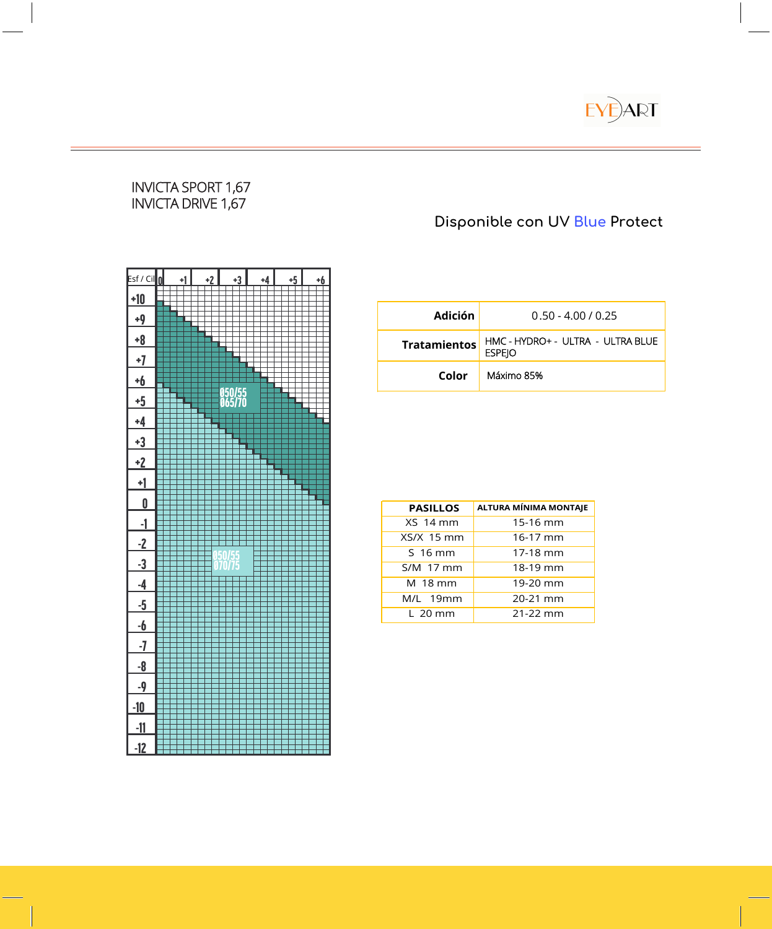

#### INVICTA SPORT 1,67 INVICTA DRIVE 1,67

## **Disponible con UV Blue Protect**



| Adición             | $0.50 - 4.00 / 0.25$                               |
|---------------------|----------------------------------------------------|
| <b>Tratamientos</b> | HMC - HYDRO+ - ULTRA - ULTRA BLUE<br><b>ESPEIO</b> |
| Color               | Máximo 85%                                         |

| <b>PASILLOS</b> | ALTURA MÍNIMA MONTAJE |
|-----------------|-----------------------|
| <b>XS 14 mm</b> | 15-16 mm              |
| $XS/X$ 15 mm    | 16-17 mm              |
| $S16$ mm        | 17-18 mm              |
| S/M 17 mm       | 18-19 mm              |
| M 18 mm         | 19-20 mm              |
| M/L 19mm        | 20-21 mm              |
| L 20 mm         | $21 - 22$ mm          |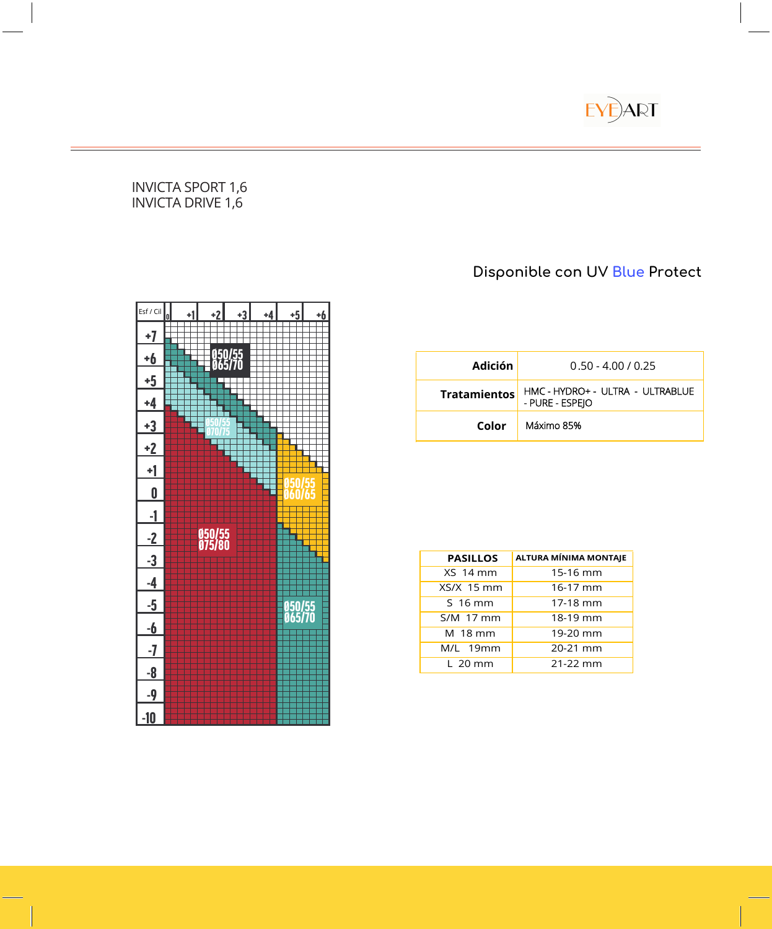

#### INVICTA SPORT 1,6 INVICTA DRIVE 1,6

# <sup>0</sup> +1 +2 +3 +4 +5 +6 +7 +6 **DELLET** 050/55 Ø65/70 +5 +4  $+3$  **THE**  $^{650/55}_{670/75}$ Ø70/75 +2 +1 Ø50/55 <sup>0</sup> Ø60/65 -1 -2 Ø50/55 Ø75/80 -3 -4 -5 Ø50/55 <u>– 6 december - 1965/70</u><br>1965/70 - 1970 - 1980 - 1980 - 1980 - 1980 - 1980 - 1980 - 1980 - 1980 - 1980 - 1980 - 1980 - 1980 - 1980 - 1 -7 -8 -9 -10 Esf / Cil

# **Disponible con UV Blue Protect**

| Adición             | $0.50 - 4.00 / 0.25$                                |
|---------------------|-----------------------------------------------------|
| <b>Tratamientos</b> | HMC - HYDRO+ - ULTRA - ULTRABLUE<br>- PURE - ESPEIO |
| Color               | Máximo 85%                                          |

| <b>PASILLOS</b> | <b>ALTURA MÍNIMA MONTAJE</b> |
|-----------------|------------------------------|
| <b>XS 14 mm</b> | 15-16 mm                     |
| $XS/X$ 15 mm    | 16-17 mm                     |
| S 16 mm         | 17-18 mm                     |
| S/M 17 mm       | 18-19 mm                     |
| M 18 mm         | 19-20 mm                     |
| M/L 19mm        | 20-21 mm                     |
| $L$ 20 mm       | 21-22 mm                     |